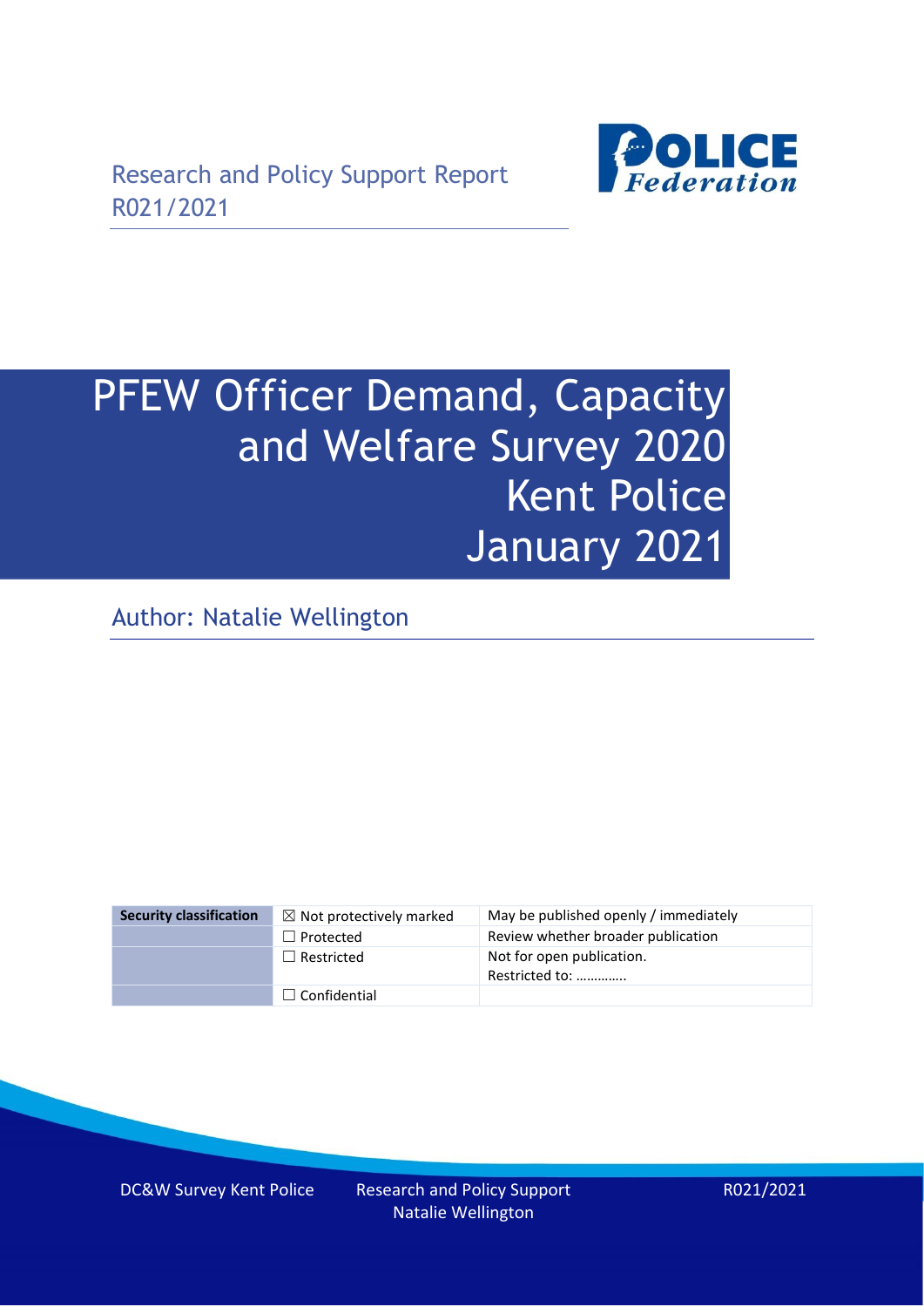

# PFEW Officer Demand, Capacity and Welfare Survey 2020 Kent Police January 2021

Author: Natalie Wellington

| <b>Security classification</b> | $\boxtimes$ Not protectively marked | May be published openly / immediately       |
|--------------------------------|-------------------------------------|---------------------------------------------|
|                                | $\Box$ Protected                    | Review whether broader publication          |
|                                | $\Box$ Restricted                   | Not for open publication.<br>Restricted to: |
|                                | $\Box$ Confidential                 |                                             |

DC&W Survey Kent Police Research and Policy Support

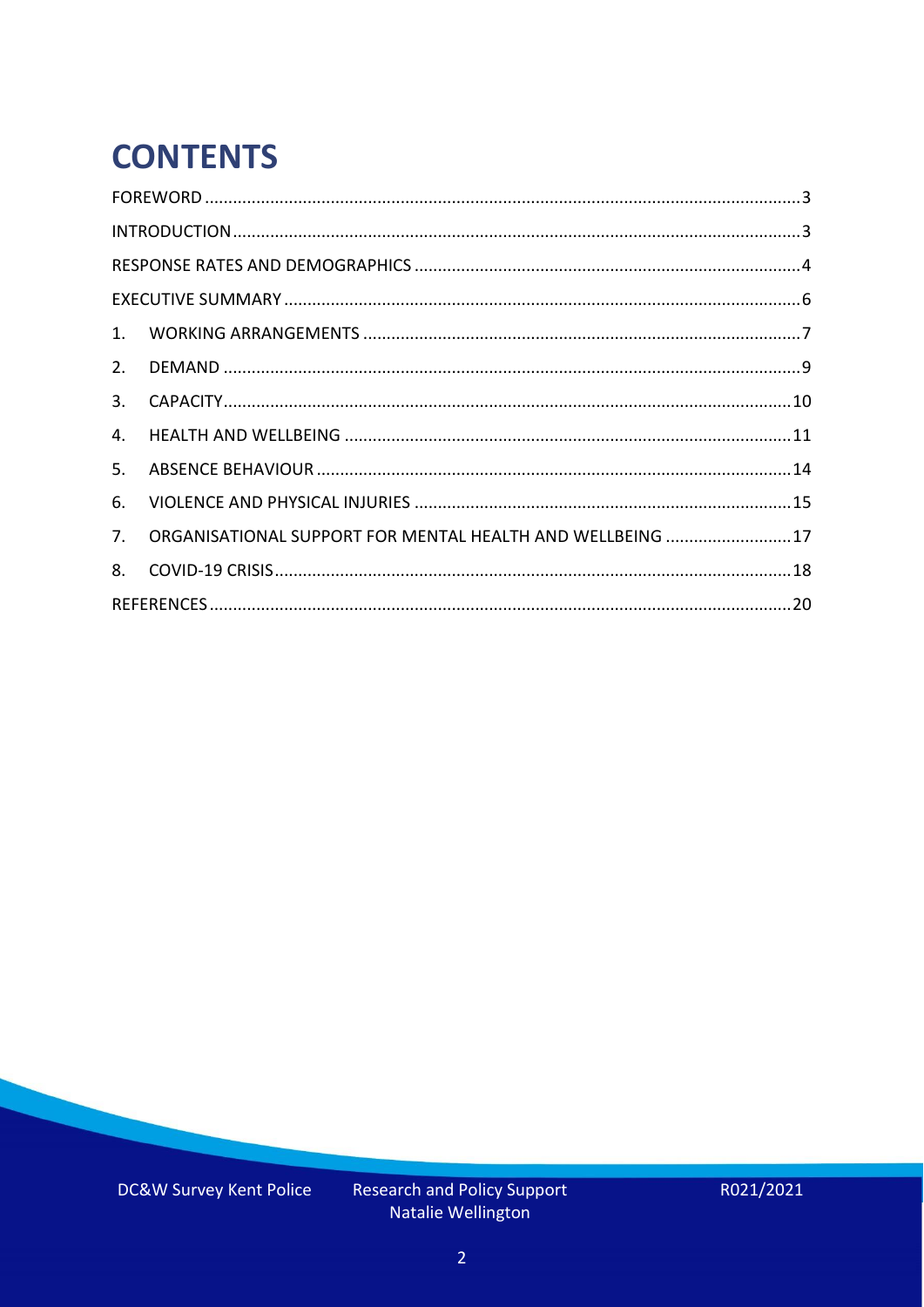# **CONTENTS**

| 3.          |                                                           |  |
|-------------|-----------------------------------------------------------|--|
| 4.          |                                                           |  |
| 5.          |                                                           |  |
| 6.          |                                                           |  |
| $7_{\cdot}$ | ORGANISATIONAL SUPPORT FOR MENTAL HEALTH AND WELLBEING 17 |  |
| 8.          |                                                           |  |
|             |                                                           |  |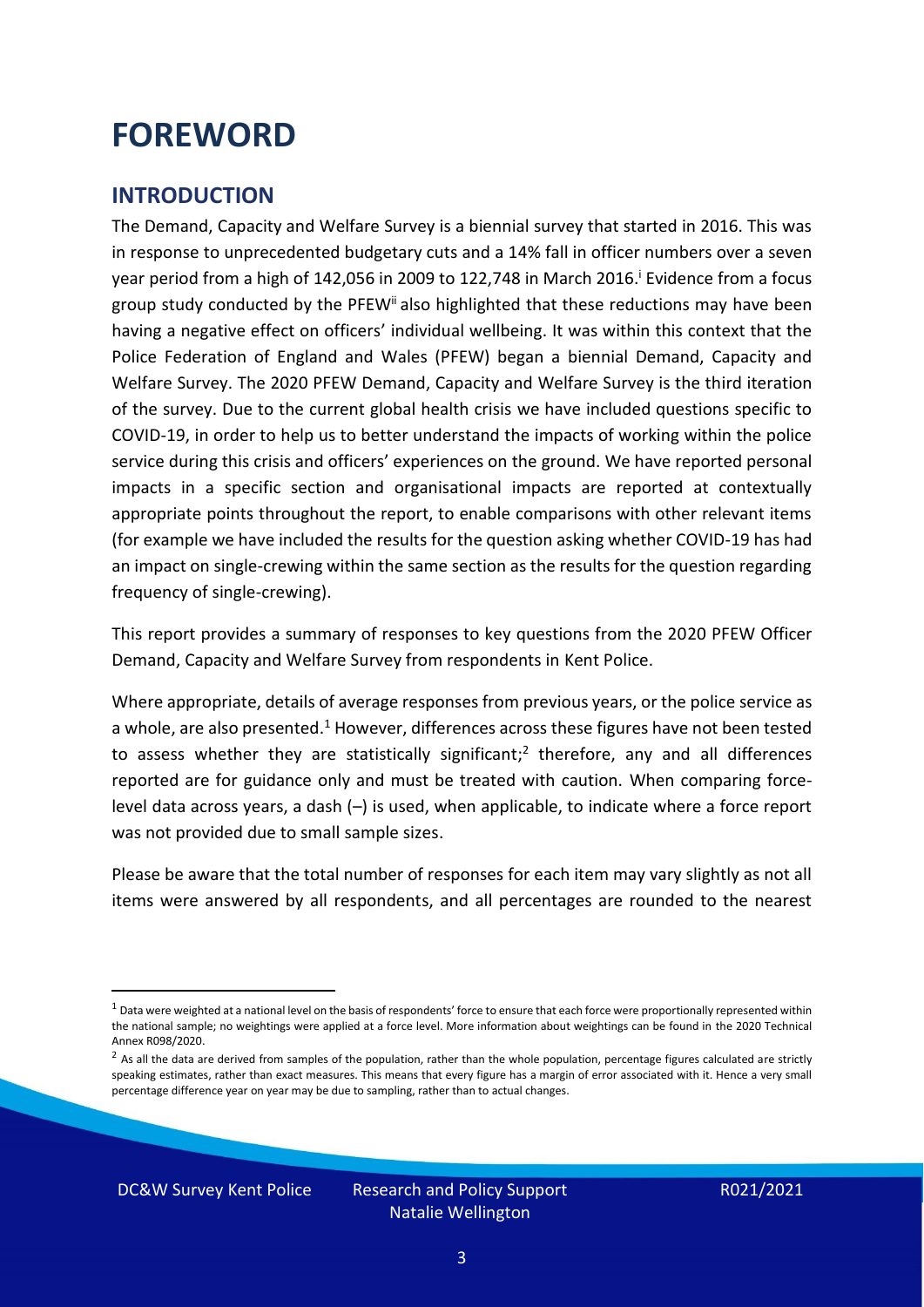### <span id="page-2-0"></span>**FOREWORD**

#### <span id="page-2-1"></span>**INTRODUCTION**

The Demand, Capacity and Welfare Survey is a biennial survey that started in 2016. This was in response to unprecedented budgetary cuts and a 14% fall in officer numbers over a seven year period from a high of 142,056 in 2009 to 122,748 in March 2016. <sup>i</sup> Evidence from a focus group study conducted by the PFEW<sup>ii</sup> also highlighted that these reductions may have been having a negative effect on officers' individual wellbeing. It was within this context that the Police Federation of England and Wales (PFEW) began a biennial Demand, Capacity and Welfare Survey. The 2020 PFEW Demand, Capacity and Welfare Survey is the third iteration of the survey. Due to the current global health crisis we have included questions specific to COVID-19, in order to help us to better understand the impacts of working within the police service during this crisis and officers' experiences on the ground. We have reported personal impacts in a specific section and organisational impacts are reported at contextually appropriate points throughout the report, to enable comparisons with other relevant items (for example we have included the results for the question asking whether COVID-19 has had an impact on single-crewing within the same section as the results for the question regarding frequency of single-crewing).

This report provides a summary of responses to key questions from the 2020 PFEW Officer Demand, Capacity and Welfare Survey from respondents in Kent Police.

Where appropriate, details of average responses from previous years, or the police service as a whole, are also presented.<sup>1</sup> However, differences across these figures have not been tested to assess whether they are statistically significant;<sup>2</sup> therefore, any and all differences reported are for guidance only and must be treated with caution. When comparing forcelevel data across years, a dash (–) is used, when applicable, to indicate where a force report was not provided due to small sample sizes.

Please be aware that the total number of responses for each item may vary slightly as not all items were answered by all respondents, and all percentages are rounded to the nearest

 $1$  Data were weighted at a national level on the basis of respondents' force to ensure that each force were proportionally represented within the national sample; no weightings were applied at a force level. More information about weightings can be found in the 2020 Technical Annex R098/2020.

 $2$  As all the data are derived from samples of the population, rather than the whole population, percentage figures calculated are strictly speaking estimates, rather than exact measures. This means that every figure has a margin of error associated with it. Hence a very small percentage difference year on year may be due to sampling, rather than to actual changes.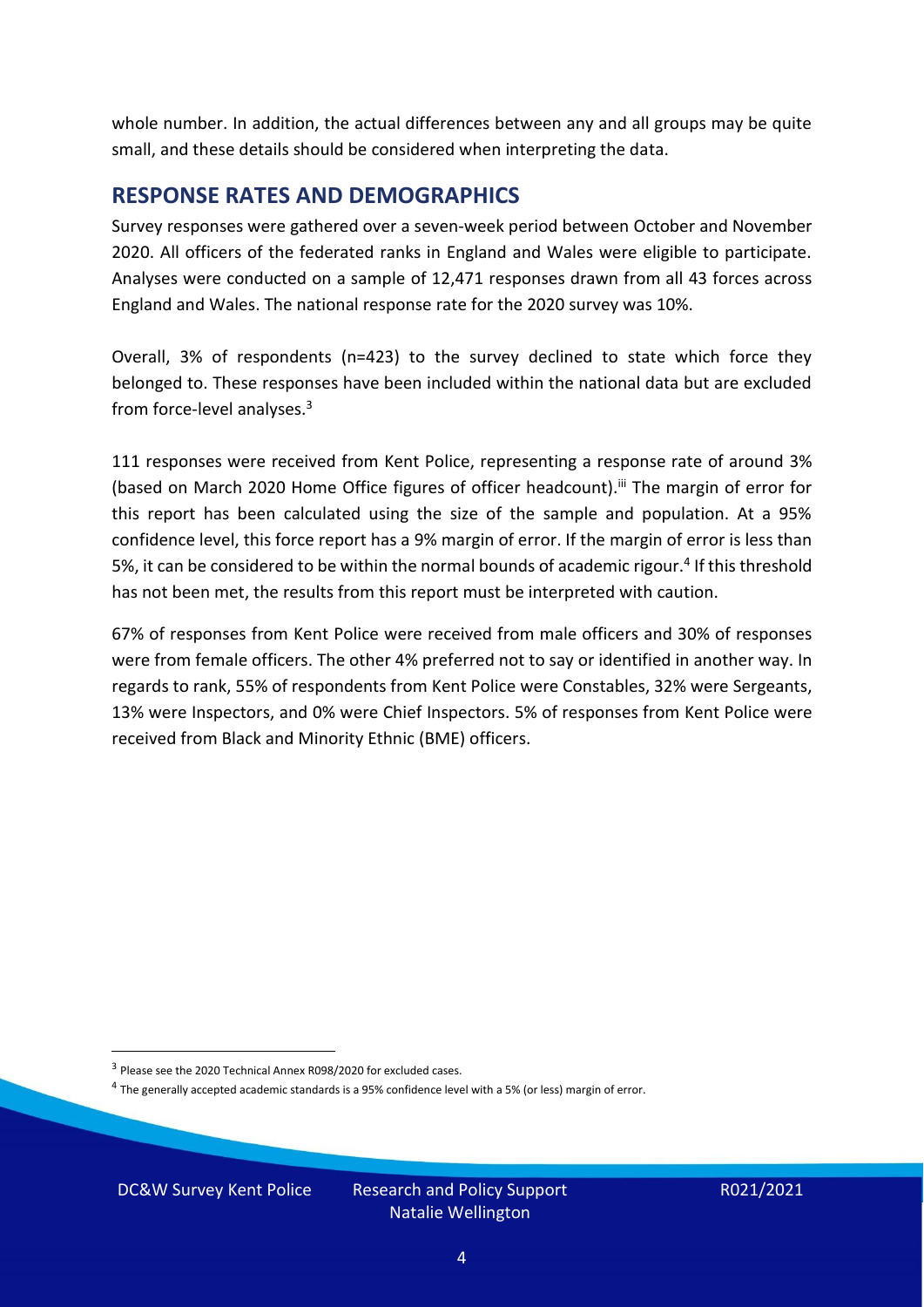whole number. In addition, the actual differences between any and all groups may be quite small, and these details should be considered when interpreting the data.

#### <span id="page-3-0"></span>**RESPONSE RATES AND DEMOGRAPHICS**

Survey responses were gathered over a seven-week period between October and November 2020. All officers of the federated ranks in England and Wales were eligible to participate. Analyses were conducted on a sample of 12,471 responses drawn from all 43 forces across England and Wales. The national response rate for the 2020 survey was 10%.

Overall, 3% of respondents (n=423) to the survey declined to state which force they belonged to. These responses have been included within the national data but are excluded from force-level analyses.<sup>3</sup>

111 responses were received from Kent Police, representing a response rate of around 3% (based on March 2020 Home Office figures of officer headcount).<sup>iii</sup> The margin of error for this report has been calculated using the size of the sample and population. At a 95% confidence level, this force report has a 9% margin of error. If the margin of error is less than 5%, it can be considered to be within the normal bounds of academic rigour.<sup>4</sup> If this threshold has not been met, the results from this report must be interpreted with caution.

67% of responses from Kent Police were received from male officers and 30% of responses were from female officers. The other 4% preferred not to say or identified in another way. In regards to rank, 55% of respondents from Kent Police were Constables, 32% were Sergeants, 13% were Inspectors, and 0% were Chief Inspectors. 5% of responses from Kent Police were received from Black and Minority Ethnic (BME) officers.

DC&W Survey Kent Police Research and Policy Support

<sup>&</sup>lt;sup>3</sup> Please see the 2020 Technical Annex R098/2020 for excluded cases.

<sup>&</sup>lt;sup>4</sup> The generally accepted academic standards is a 95% confidence level with a 5% (or less) margin of error.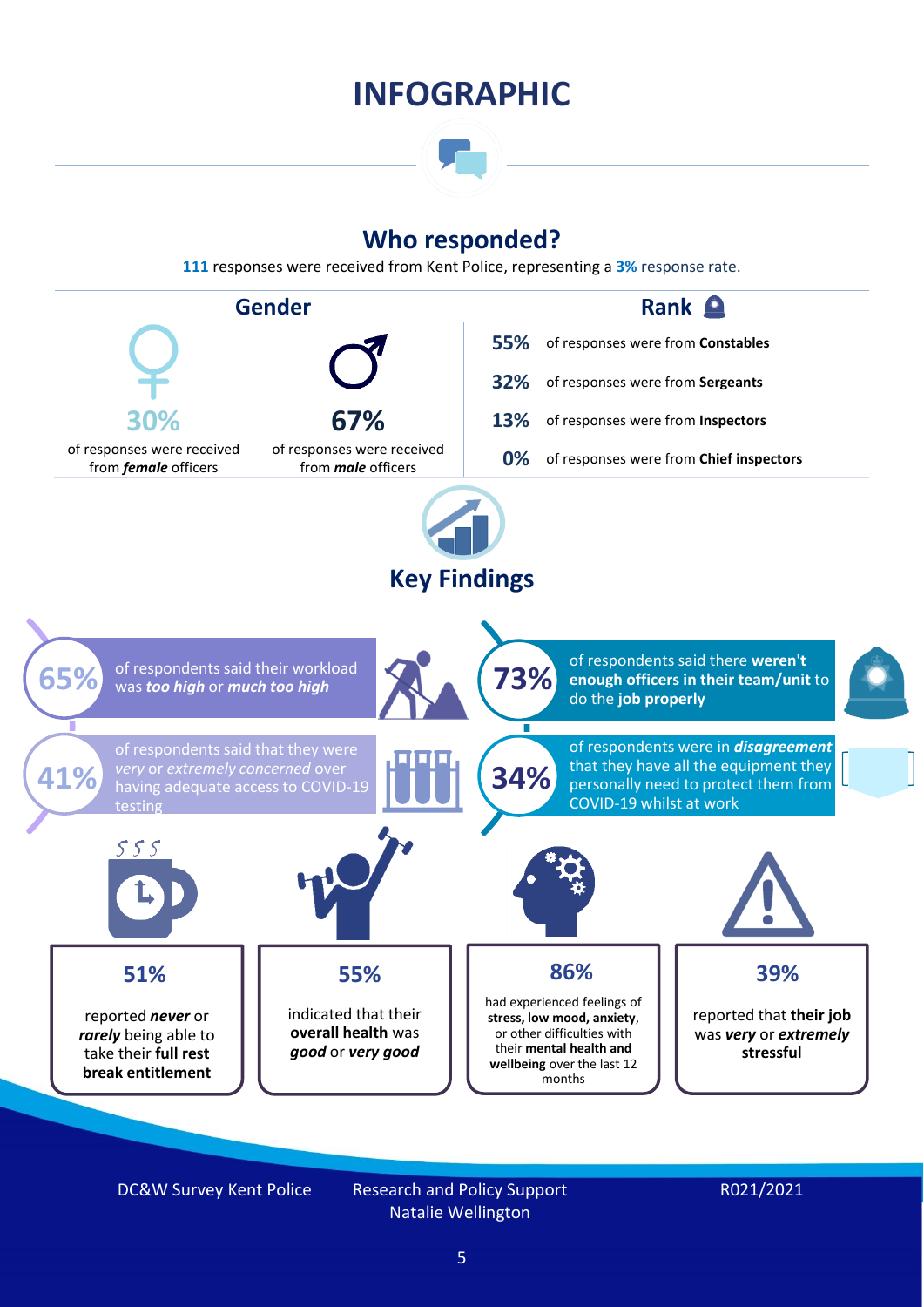### **INFOGRAPHIC**

### **Who responded?**

**111** responses were received from Kent Police, representing a **3%** response rate.



DC&W Survey Kent Police Research and Policy Support

Natalie Wellington

#### R021/2021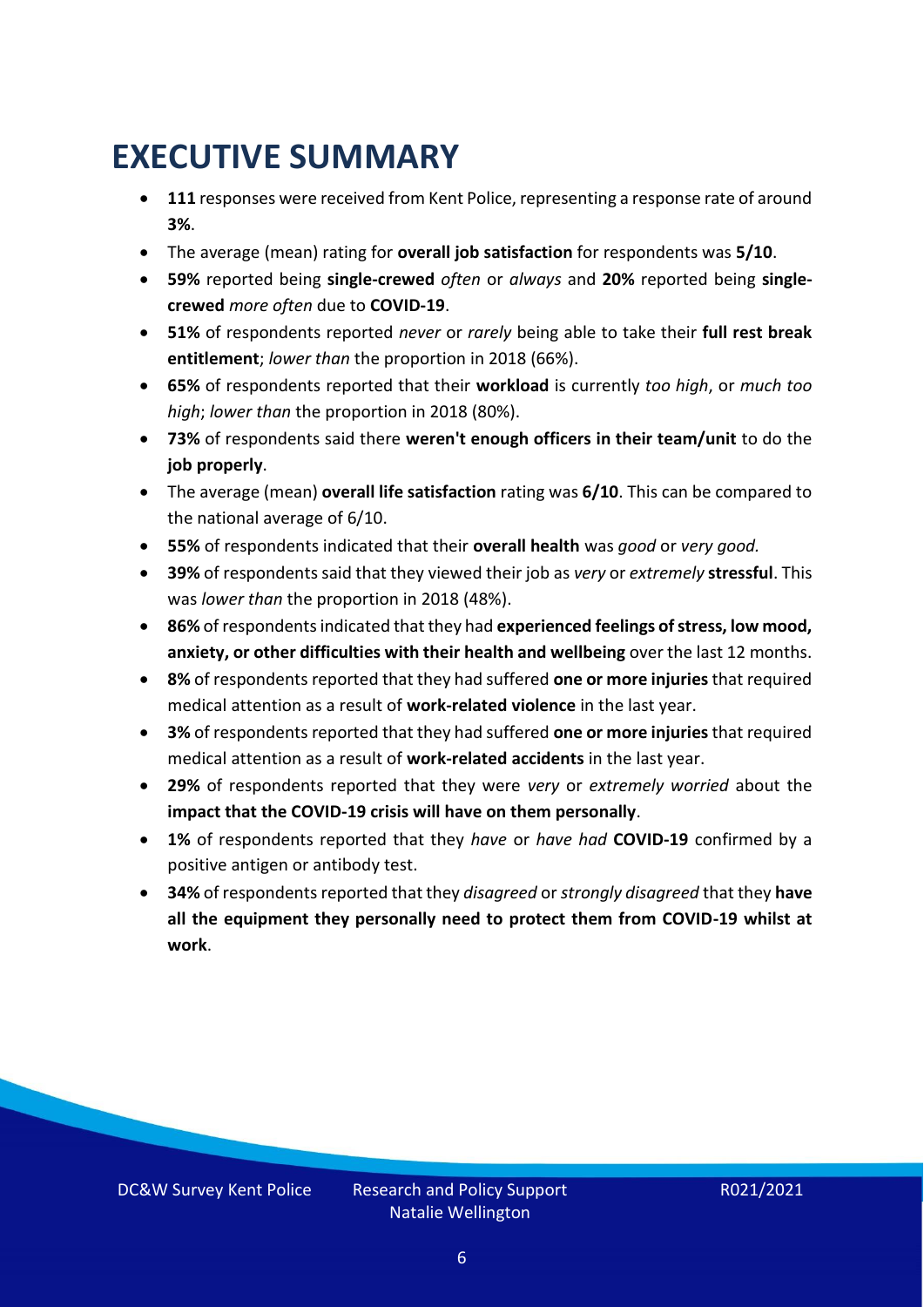## <span id="page-5-0"></span>**EXECUTIVE SUMMARY**

- **111** responses were received from Kent Police, representing a response rate of around **3%**.
- The average (mean) rating for **overall job satisfaction** for respondents was **5/10**.
- **59%** reported being **single-crewed** *often* or *always* and **20%** reported being **singlecrewed** *more often* due to **COVID-19**.
- **51%** of respondents reported *never* or *rarely* being able to take their **full rest break entitlement**; *lower than* the proportion in 2018 (66%).
- **65%** of respondents reported that their **workload** is currently *too high*, or *much too high*; *lower than* the proportion in 2018 (80%).
- **73%** of respondents said there **weren't enough officers in their team/unit** to do the **job properly**.
- The average (mean) **overall life satisfaction** rating was **6/10**. This can be compared to the national average of 6/10.
- **55%** of respondents indicated that their **overall health** was *good* or *very good.*
- **39%** of respondents said that they viewed their job as *very* or *extremely* **stressful**. This was *lower than* the proportion in 2018 (48%).
- **86%** of respondents indicated that they had **experienced feelings of stress, low mood, anxiety, or other difficulties with their health and wellbeing** over the last 12 months.
- **8%** of respondents reported that they had suffered **one or more injuries**that required medical attention as a result of **work-related violence** in the last year.
- **3%** of respondents reported that they had suffered **one or more injuries**that required medical attention as a result of **work-related accidents** in the last year.
- **29%** of respondents reported that they were *very* or *extremely worried* about the **impact that the COVID-19 crisis will have on them personally**.
- **1%** of respondents reported that they *have* or *have had* **COVID-19** confirmed by a positive antigen or antibody test.
- **34%** of respondents reported that they *disagreed* or *strongly disagreed* that they **have all the equipment they personally need to protect them from COVID-19 whilst at work**.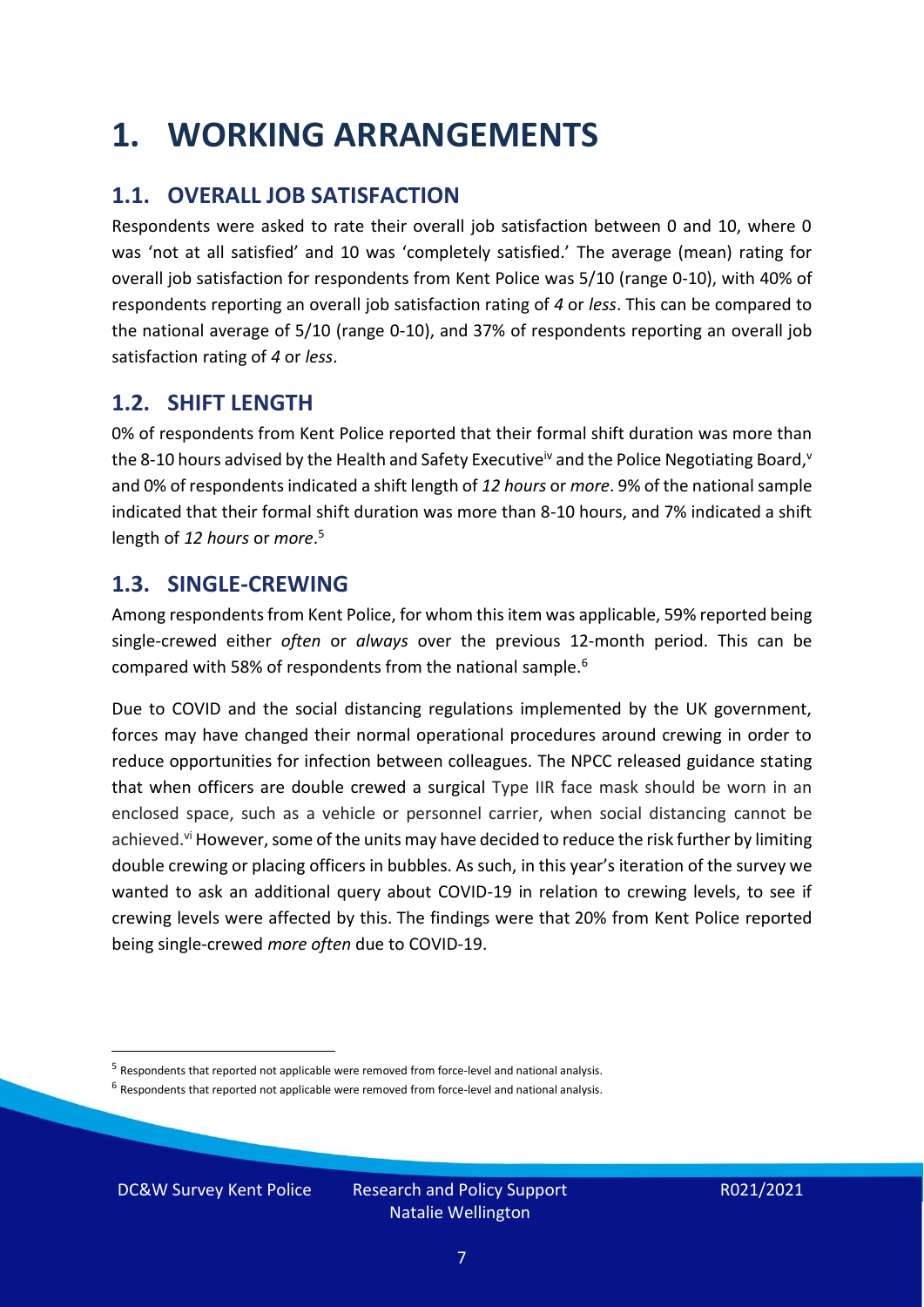### <span id="page-6-0"></span>**1. WORKING ARRANGEMENTS**

### **1.1. OVERALL JOB SATISFACTION**

Respondents were asked to rate their overall job satisfaction between 0 and 10, where 0 was 'not at all satisfied' and 10 was 'completely satisfied.' The average (mean) rating for overall job satisfaction for respondents from Kent Police was 5/10 (range 0-10), with 40% of respondents reporting an overall job satisfaction rating of *4* or *less*. This can be compared to the national average of 5/10 (range 0-10), and 37% of respondents reporting an overall job satisfaction rating of *4* or *less*.

### **1.2. SHIFT LENGTH**

0% of respondents from Kent Police reported that their formal shift duration was more than the 8-10 hours advised by the Health and Safety Executive<sup>iv</sup> and the Police Negotiating Board,<sup>v</sup> and 0% of respondents indicated a shift length of *12 hours* or *more*. 9% of the national sample indicated that their formal shift duration was more than 8-10 hours, and 7% indicated a shift length of *12 hours* or *more*. 5

#### **1.3. SINGLE-CREWING**

Among respondents from Kent Police, for whom this item was applicable, 59% reported being single-crewed either *often* or *always* over the previous 12-month period. This can be compared with 58% of respondents from the national sample.<sup>6</sup>

Due to COVID and the social distancing regulations implemented by the UK government, forces may have changed their normal operational procedures around crewing in order to reduce opportunities for infection between colleagues. The NPCC released guidance stating that when officers are double crewed a surgical Type IIR face mask should be worn in an enclosed space, such as a vehicle or personnel carrier, when social distancing cannot be achieved.<sup>vi</sup> However, some of the units may have decided to reduce the risk further by limiting double crewing or placing officers in bubbles. As such, in this year's iteration of the survey we wanted to ask an additional query about COVID-19 in relation to crewing levels, to see if crewing levels were affected by this. The findings were that 20% from Kent Police reported being single-crewed *more often* due to COVID-19.

<sup>&</sup>lt;sup>5</sup> Respondents that reported not applicable were removed from force-level and national analysis.

 $<sup>6</sup>$  Respondents that reported not applicable were removed from force-level and national analysis.</sup>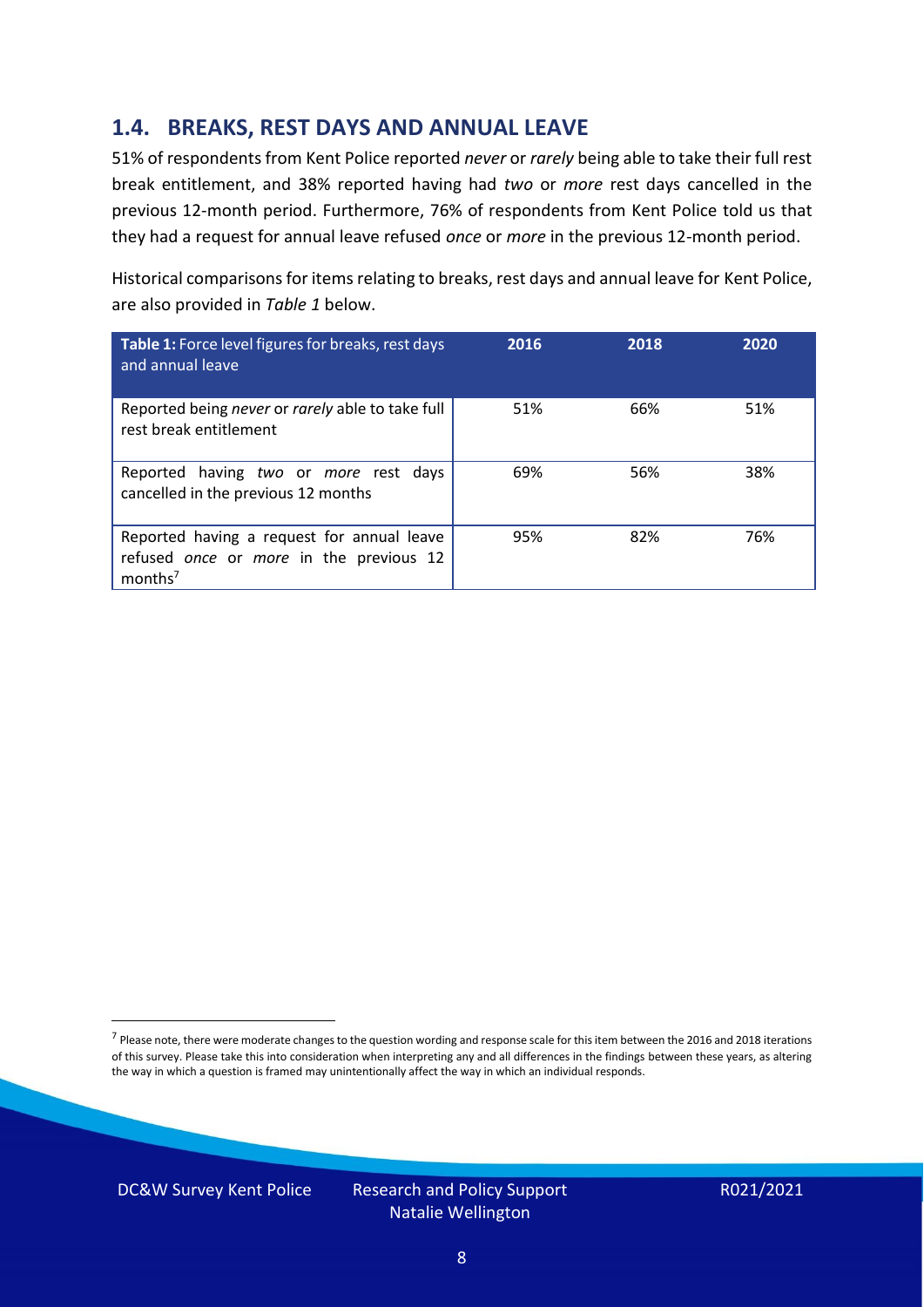### **1.4. BREAKS, REST DAYS AND ANNUAL LEAVE**

51% of respondents from Kent Police reported *never* or *rarely* being able to take their full rest break entitlement, and 38% reported having had *two* or *more* rest days cancelled in the previous 12-month period. Furthermore, 76% of respondents from Kent Police told us that they had a request for annual leave refused *once* or *more* in the previous 12-month period.

Historical comparisons for items relating to breaks, rest days and annual leave for Kent Police, are also provided in *Table 1* below.

| Table 1: Force level figures for breaks, rest days<br>and annual leave                                       | 2016 | 2018 | 2020 |
|--------------------------------------------------------------------------------------------------------------|------|------|------|
| Reported being never or rarely able to take full<br>rest break entitlement                                   | 51%  | 66%  | 51%  |
| Reported having two or more rest days<br>cancelled in the previous 12 months                                 | 69%  | 56%  | 38%  |
| Reported having a request for annual leave<br>refused once or more in the previous 12<br>months <sup>7</sup> | 95%  | 82%  | 76%  |

DC&W Survey Kent Police Research and Policy Support

<sup>&</sup>lt;sup>7</sup> Please note, there were moderate changes to the question wording and response scale for this item between the 2016 and 2018 iterations of this survey. Please take this into consideration when interpreting any and all differences in the findings between these years, as altering the way in which a question is framed may unintentionally affect the way in which an individual responds.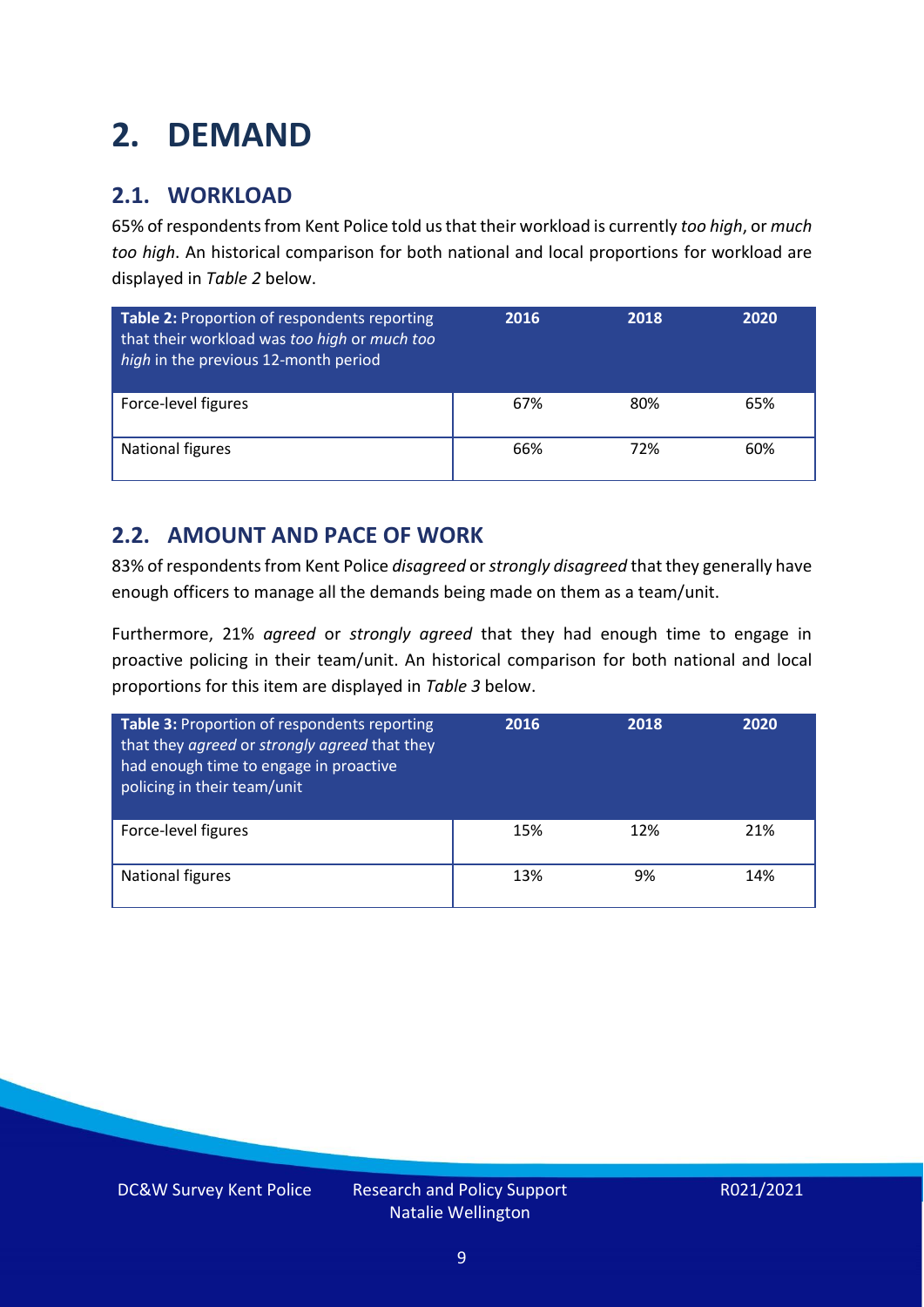### <span id="page-8-0"></span>**2. DEMAND**

### **2.1. WORKLOAD**

65% of respondents from Kent Police told us that their workload is currently *too high*, or *much too high*. An historical comparison for both national and local proportions for workload are displayed in *Table 2* below.

| Table 2: Proportion of respondents reporting<br>that their workload was too high or much too<br>high in the previous 12-month period | 2016 | 2018 | 2020 |
|--------------------------------------------------------------------------------------------------------------------------------------|------|------|------|
| Force-level figures                                                                                                                  | 67%  | 80%  | 65%  |
| National figures                                                                                                                     | 66%  | 72%  | 60%  |

### **2.2. AMOUNT AND PACE OF WORK**

83% of respondents from Kent Police *disagreed* or *strongly disagreed* that they generally have enough officers to manage all the demands being made on them as a team/unit.

Furthermore, 21% *agreed* or *strongly agreed* that they had enough time to engage in proactive policing in their team/unit. An historical comparison for both national and local proportions for this item are displayed in *Table 3* below.

| Table 3: Proportion of respondents reporting<br>that they agreed or strongly agreed that they<br>had enough time to engage in proactive<br>policing in their team/unit | 2016 | 2018 | 2020 |
|------------------------------------------------------------------------------------------------------------------------------------------------------------------------|------|------|------|
| Force-level figures                                                                                                                                                    | 15%  | 12%  | 21%  |
| <b>National figures</b>                                                                                                                                                | 13%  | 9%   | 14%  |

DC&W Survey Kent Police Research and Policy Support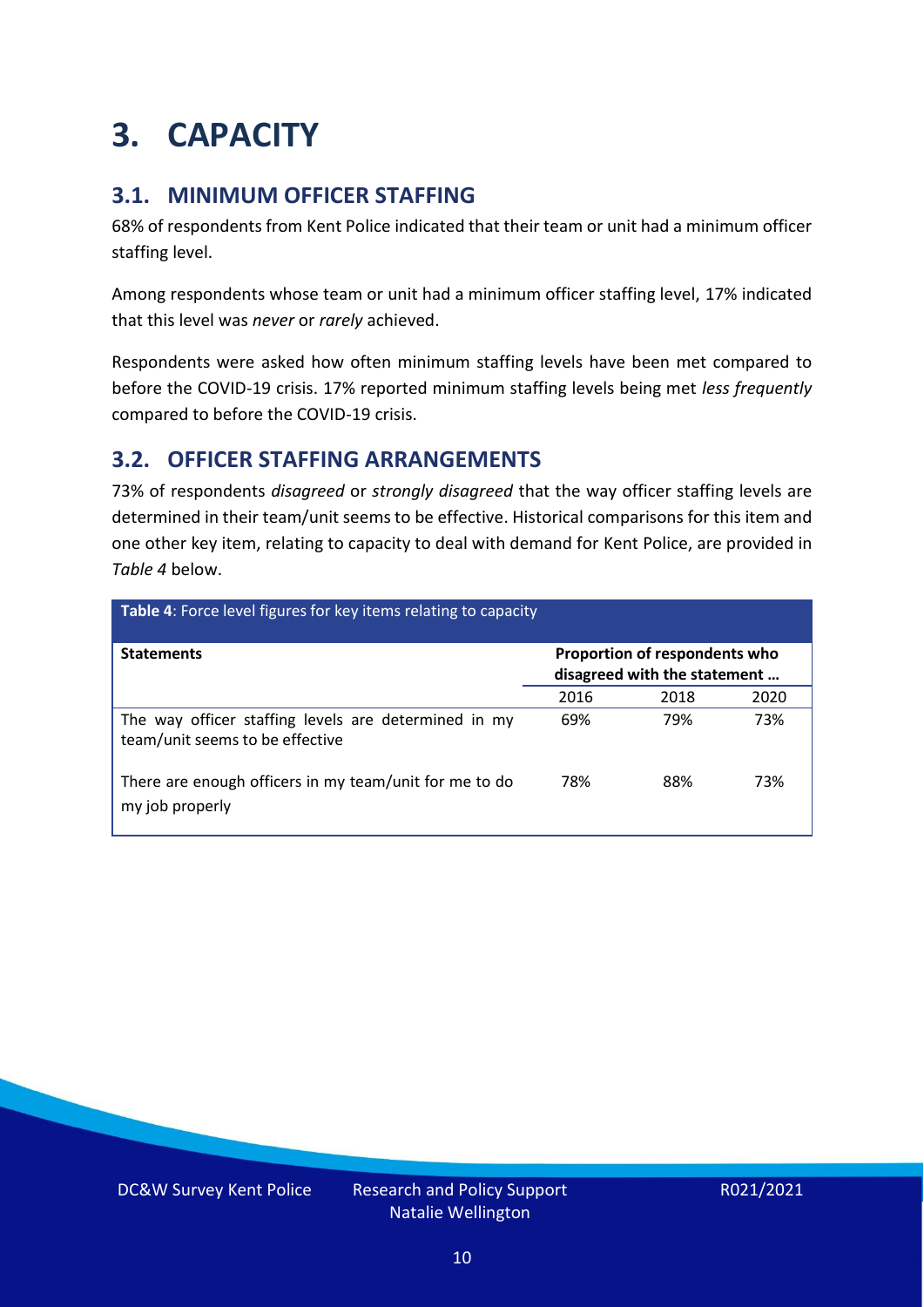## <span id="page-9-0"></span>**3. CAPACITY**

### **3.1. MINIMUM OFFICER STAFFING**

68% of respondents from Kent Police indicated that their team or unit had a minimum officer staffing level.

Among respondents whose team or unit had a minimum officer staffing level, 17% indicated that this level was *never* or *rarely* achieved.

Respondents were asked how often minimum staffing levels have been met compared to before the COVID-19 crisis. 17% reported minimum staffing levels being met *less frequently* compared to before the COVID-19 crisis.

### **3.2. OFFICER STAFFING ARRANGEMENTS**

73% of respondents *disagreed* or *strongly disagreed* that the way officer staffing levels are determined in their team/unit seems to be effective. Historical comparisons for this item and one other key item, relating to capacity to deal with demand for Kent Police, are provided in *Table 4* below.

| Table 4: Force level figures for key items relating to capacity                         |      |                                                               |      |  |
|-----------------------------------------------------------------------------------------|------|---------------------------------------------------------------|------|--|
| <b>Statements</b>                                                                       |      | Proportion of respondents who<br>disagreed with the statement |      |  |
|                                                                                         | 2016 | 2018                                                          | 2020 |  |
| The way officer staffing levels are determined in my<br>team/unit seems to be effective | 69%  | 79%                                                           | 73%  |  |
| There are enough officers in my team/unit for me to do<br>my job properly               | 78%  | 88%                                                           | 73%  |  |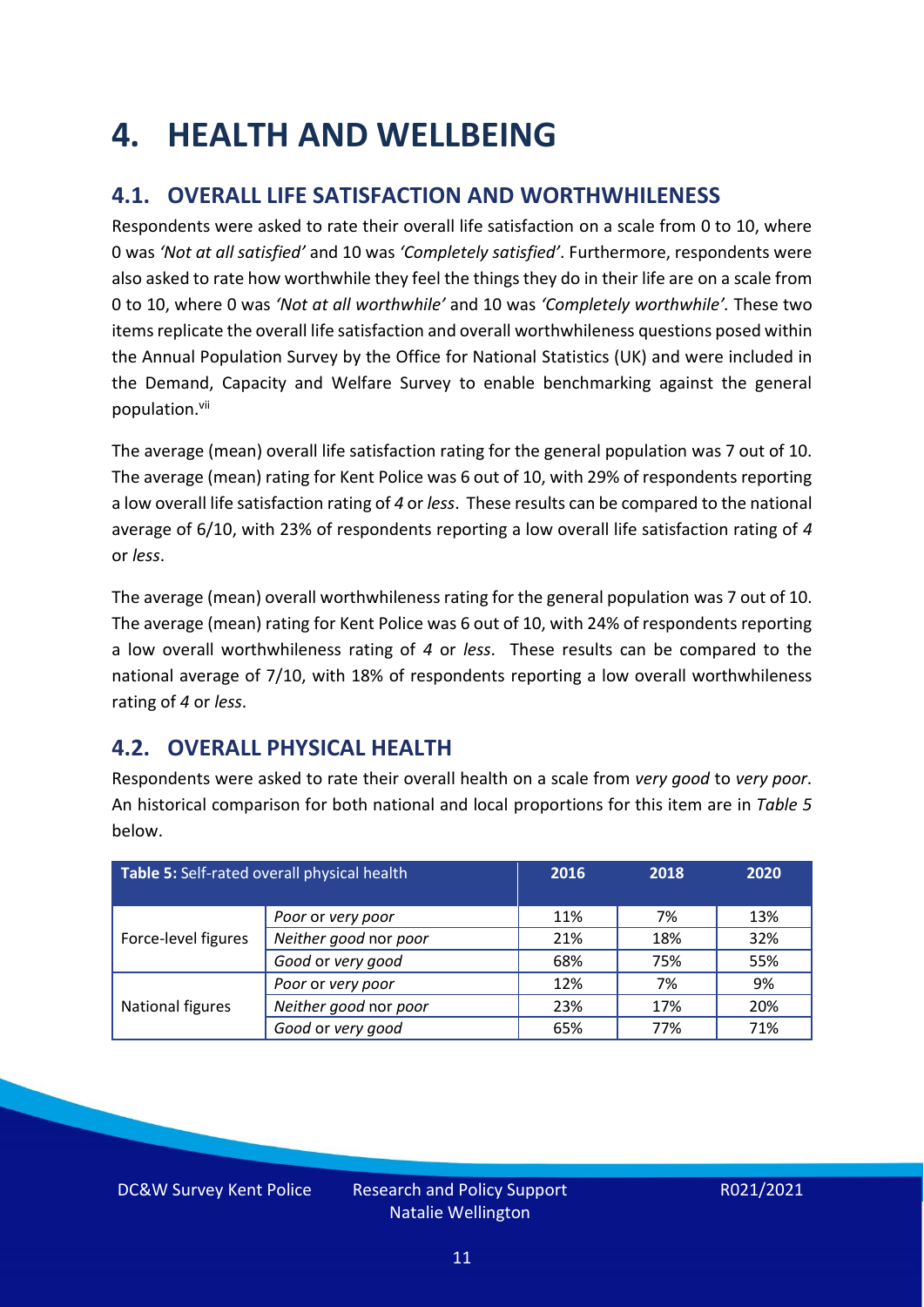### <span id="page-10-0"></span>**4. HEALTH AND WELLBEING**

### **4.1. OVERALL LIFE SATISFACTION AND WORTHWHILENESS**

Respondents were asked to rate their overall life satisfaction on a scale from 0 to 10, where 0 was *'Not at all satisfied'* and 10 was *'Completely satisfied'*. Furthermore, respondents were also asked to rate how worthwhile they feel the things they do in their life are on a scale from 0 to 10, where 0 was *'Not at all worthwhile'* and 10 was *'Completely worthwhile'.* These two items replicate the overall life satisfaction and overall worthwhileness questions posed within the Annual Population Survey by the Office for National Statistics (UK) and were included in the Demand, Capacity and Welfare Survey to enable benchmarking against the general population. vii

The average (mean) overall life satisfaction rating for the general population was 7 out of 10. The average (mean) rating for Kent Police was 6 out of 10, with 29% of respondents reporting a low overall life satisfaction rating of *4* or *less*. These results can be compared to the national average of 6/10, with 23% of respondents reporting a low overall life satisfaction rating of *4* or *less*.

The average (mean) overall worthwhileness rating for the general population was 7 out of 10. The average (mean) rating for Kent Police was 6 out of 10, with 24% of respondents reporting a low overall worthwhileness rating of *4* or *less*. These results can be compared to the national average of 7/10, with 18% of respondents reporting a low overall worthwhileness rating of *4* or *less*.

### **4.2. OVERALL PHYSICAL HEALTH**

Respondents were asked to rate their overall health on a scale from *very good* to *very poor*. An historical comparison for both national and local proportions for this item are in *Table 5* below.

| Table 5: Self-rated overall physical health |                       | 2016 | 2018 | 2020 |
|---------------------------------------------|-----------------------|------|------|------|
|                                             | Poor or very poor     | 11%  | 7%   | 13%  |
| Force-level figures                         | Neither good nor poor | 21%  | 18%  | 32%  |
|                                             | Good or very good     | 68%  | 75%  | 55%  |
|                                             | Poor or very poor     | 12%  | 7%   | 9%   |
| National figures                            | Neither good nor poor | 23%  | 17%  | 20%  |
|                                             | Good or very good     | 65%  | 77%  | 71%  |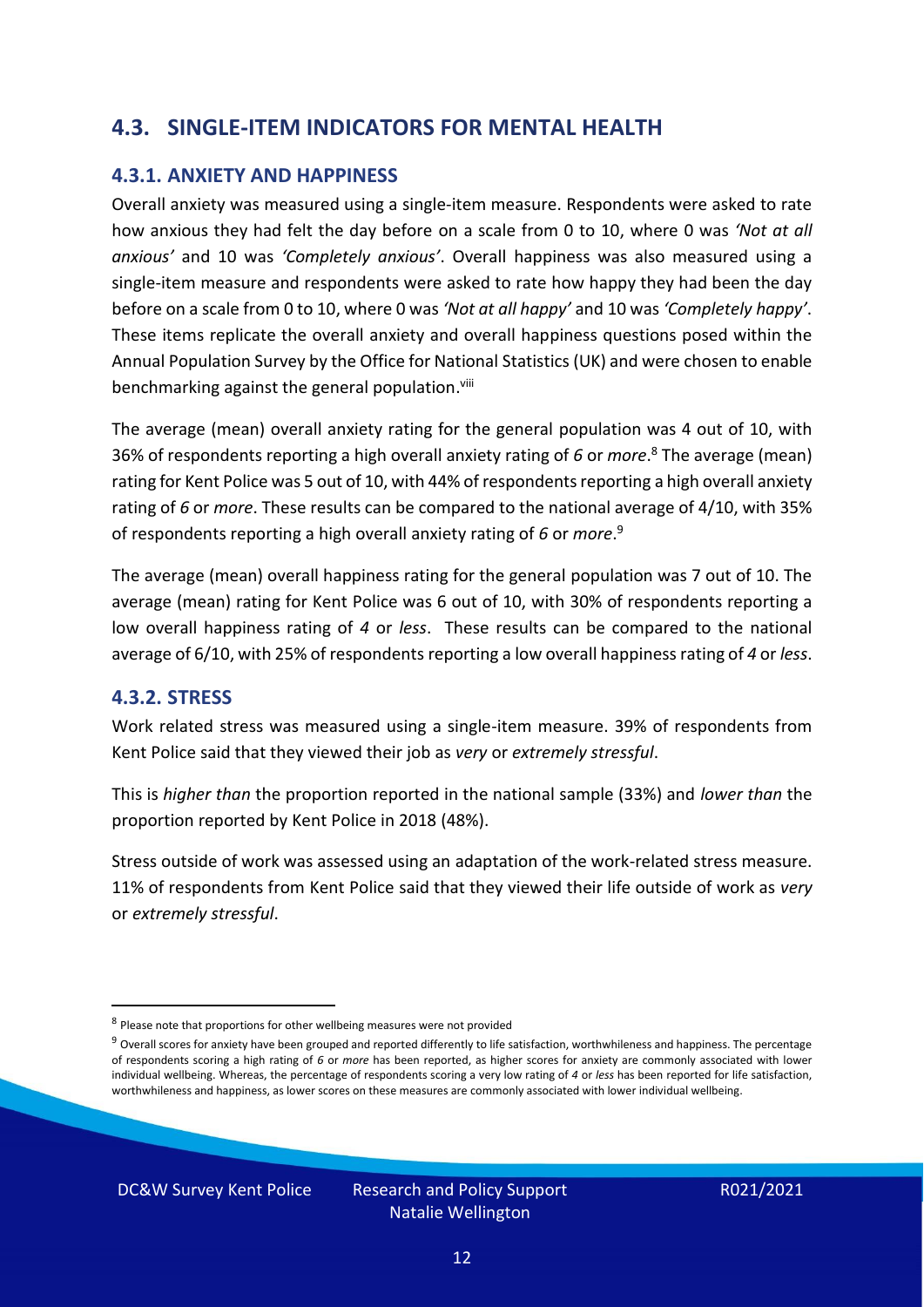### **4.3. SINGLE-ITEM INDICATORS FOR MENTAL HEALTH**

#### **4.3.1. ANXIETY AND HAPPINESS**

Overall anxiety was measured using a single-item measure. Respondents were asked to rate how anxious they had felt the day before on a scale from 0 to 10, where 0 was *'Not at all anxious'* and 10 was *'Completely anxious'*. Overall happiness was also measured using a single-item measure and respondents were asked to rate how happy they had been the day before on a scale from 0 to 10, where 0 was *'Not at all happy'* and 10 was *'Completely happy'*. These items replicate the overall anxiety and overall happiness questions posed within the Annual Population Survey by the Office for National Statistics (UK) and were chosen to enable benchmarking against the general population.<sup>viii</sup>

The average (mean) overall anxiety rating for the general population was 4 out of 10, with 36% of respondents reporting a high overall anxiety rating of *6* or *more*. <sup>8</sup> The average (mean) rating for Kent Police was 5 out of 10, with 44% of respondents reporting a high overall anxiety rating of *6* or *more*. These results can be compared to the national average of 4/10, with 35% of respondents reporting a high overall anxiety rating of *6* or *more*. 9

The average (mean) overall happiness rating for the general population was 7 out of 10. The average (mean) rating for Kent Police was 6 out of 10, with 30% of respondents reporting a low overall happiness rating of *4* or *less*. These results can be compared to the national average of 6/10, with 25% of respondents reporting a low overall happinessrating of *4* or *less*.

#### **4.3.2. STRESS**

Work related stress was measured using a single-item measure. 39% of respondents from Kent Police said that they viewed their job as *very* or *extremely stressful*.

This is *higher than* the proportion reported in the national sample (33%) and *lower than* the proportion reported by Kent Police in 2018 (48%).

Stress outside of work was assessed using an adaptation of the work-related stress measure. 11% of respondents from Kent Police said that they viewed their life outside of work as *very* or *extremely stressful*.

<sup>&</sup>lt;sup>8</sup> Please note that proportions for other wellbeing measures were not provided

 $9$  Overall scores for anxiety have been grouped and reported differently to life satisfaction, worthwhileness and happiness. The percentage of respondents scoring a high rating of *6* or *more* has been reported, as higher scores for anxiety are commonly associated with lower individual wellbeing. Whereas, the percentage of respondents scoring a very low rating of *4* or *less* has been reported for life satisfaction, worthwhileness and happiness, as lower scores on these measures are commonly associated with lower individual wellbeing.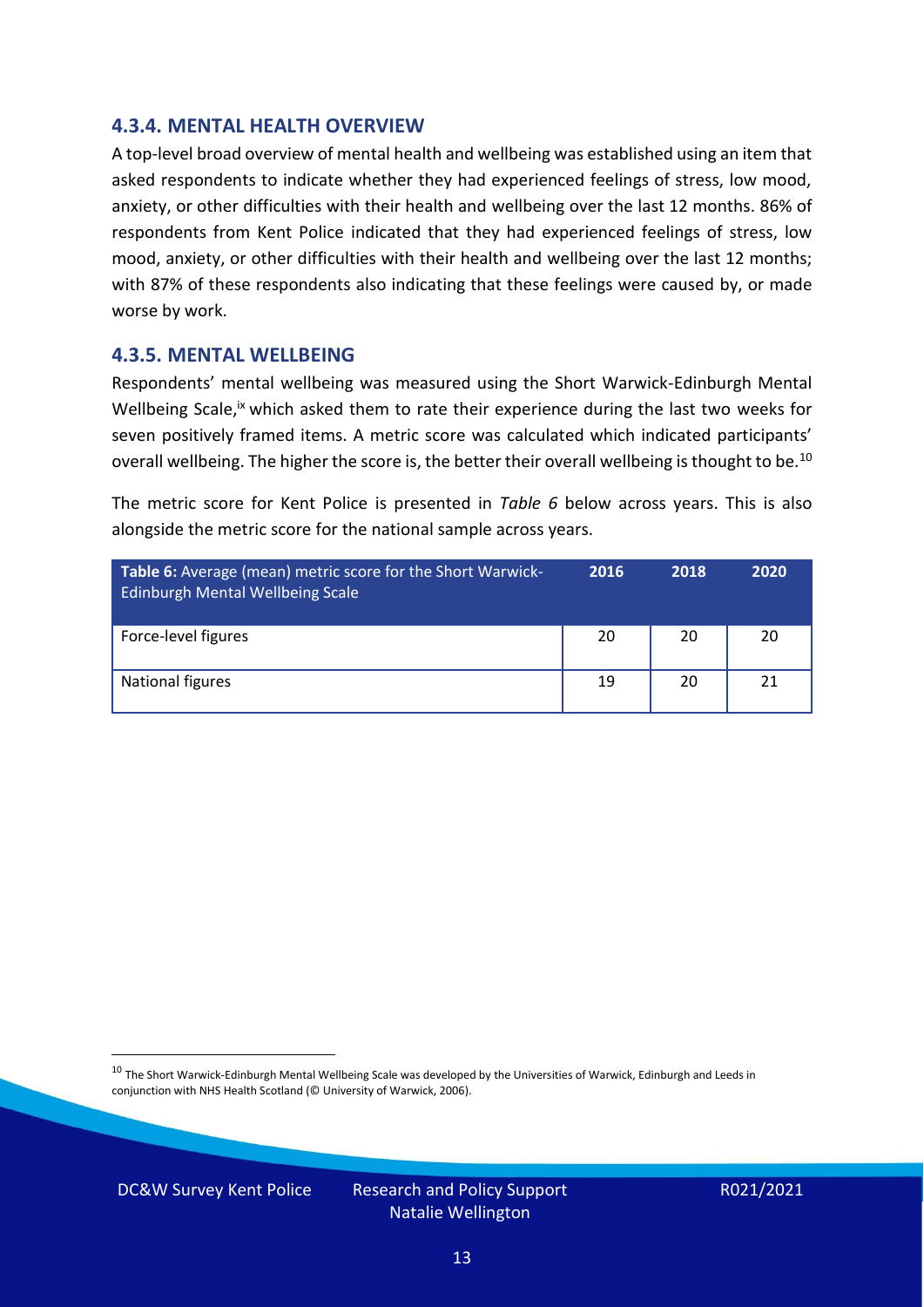#### **4.3.4. MENTAL HEALTH OVERVIEW**

A top-level broad overview of mental health and wellbeing was established using an item that asked respondents to indicate whether they had experienced feelings of stress, low mood, anxiety, or other difficulties with their health and wellbeing over the last 12 months. 86% of respondents from Kent Police indicated that they had experienced feelings of stress, low mood, anxiety, or other difficulties with their health and wellbeing over the last 12 months; with 87% of these respondents also indicating that these feelings were caused by, or made worse by work.

#### **4.3.5. MENTAL WELLBEING**

Respondents' mental wellbeing was measured using the Short Warwick-Edinburgh Mental Wellbeing Scale,<sup>ix</sup> which asked them to rate their experience during the last two weeks for seven positively framed items. A metric score was calculated which indicated participants' overall wellbeing. The higher the score is, the better their overall wellbeing is thought to be.<sup>10</sup>

The metric score for Kent Police is presented in *Table 6* below across years. This is also alongside the metric score for the national sample across years.

| <b>Table 6:</b> Average (mean) metric score for the Short Warwick-<br>Edinburgh Mental Wellbeing Scale | 2016 | 2018 | 2020 |
|--------------------------------------------------------------------------------------------------------|------|------|------|
| Force-level figures                                                                                    | 20   | 20   | 20   |
| National figures                                                                                       | 19   | 20   | 21   |

 $10$  The Short Warwick-Edinburgh Mental Wellbeing Scale was developed by the Universities of Warwick, Edinburgh and Leeds in conjunction with NHS Health Scotland (© University of Warwick, 2006).

DC&W Survey Kent Police Research and Policy Support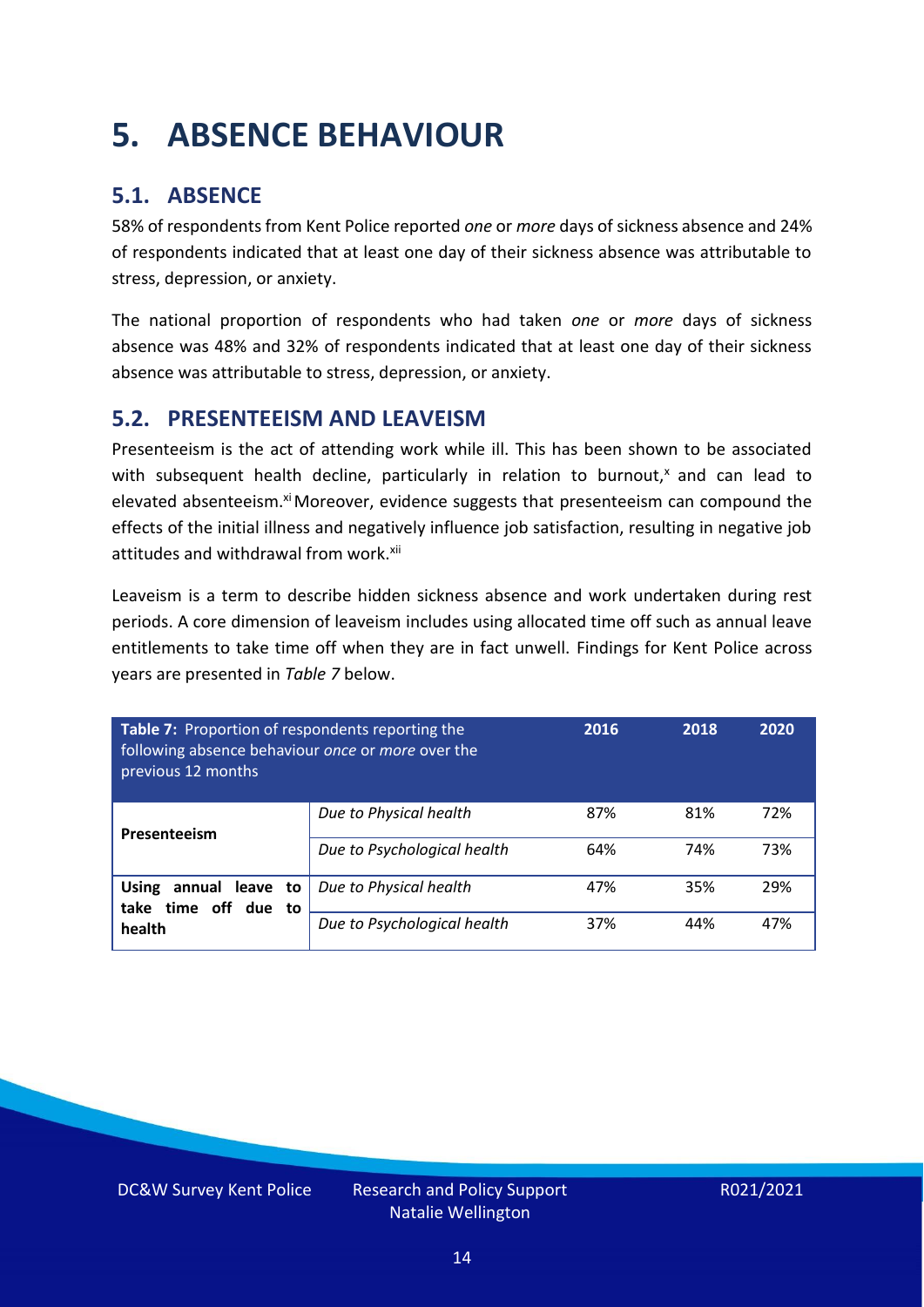## <span id="page-13-0"></span>**5. ABSENCE BEHAVIOUR**

### **5.1. ABSENCE**

58% of respondents from Kent Police reported *one* or *more* days of sickness absence and 24% of respondents indicated that at least one day of their sickness absence was attributable to stress, depression, or anxiety.

The national proportion of respondents who had taken *one* or *more* days of sickness absence was 48% and 32% of respondents indicated that at least one day of their sickness absence was attributable to stress, depression, or anxiety.

### **5.2. PRESENTEEISM AND LEAVEISM**

Presenteeism is the act of attending work while ill. This has been shown to be associated with subsequent health decline, particularly in relation to burnout, $x$  and can lead to elevated absenteeism.<sup>xi</sup> Moreover, evidence suggests that presenteeism can compound the effects of the initial illness and negatively influence job satisfaction, resulting in negative job attitudes and withdrawal from work.<sup>xii</sup>

Leaveism is a term to describe hidden sickness absence and work undertaken during rest periods. A core dimension of leaveism includes using allocated time off such as annual leave entitlements to take time off when they are in fact unwell. Findings for Kent Police across years are presented in *Table 7* below.

| Table 7: Proportion of respondents reporting the<br>following absence behaviour once or more over the<br>previous 12 months |                             | 2016 | 2018 | 2020 |
|-----------------------------------------------------------------------------------------------------------------------------|-----------------------------|------|------|------|
| Presenteeism                                                                                                                | Due to Physical health      | 87%  | 81%  | 72%  |
|                                                                                                                             | Due to Psychological health | 64%  | 74%  | 73%  |
| annual leave to<br><b>Using</b><br>time off due to<br>take                                                                  | Due to Physical health      | 47%  | 35%  | 29%  |
| health                                                                                                                      | Due to Psychological health | 37%  | 44%  | 47%  |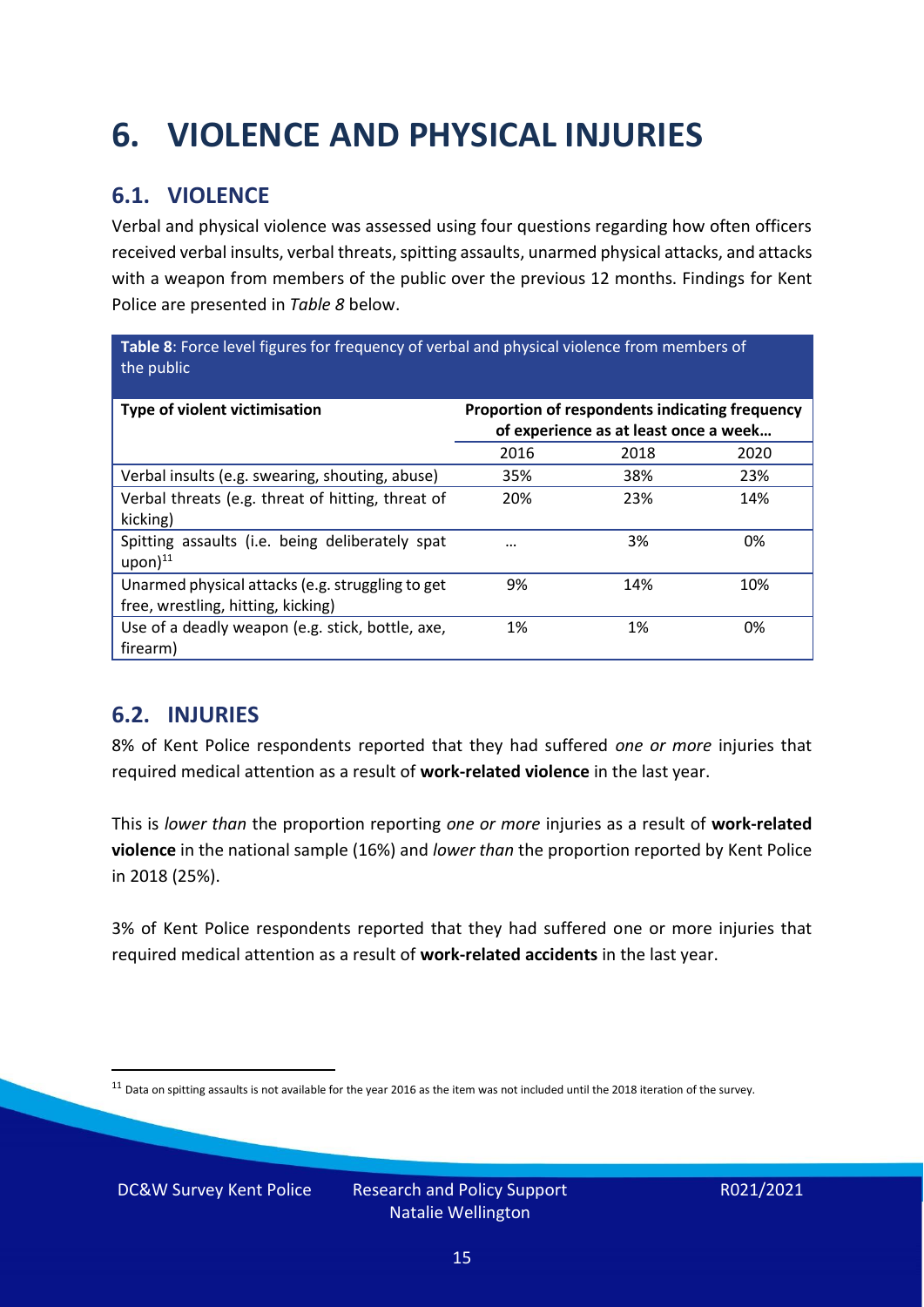## <span id="page-14-0"></span>**6. VIOLENCE AND PHYSICAL INJURIES**

### **6.1. VIOLENCE**

Verbal and physical violence was assessed using four questions regarding how often officers received verbal insults, verbal threats, spitting assaults, unarmed physical attacks, and attacks with a weapon from members of the public over the previous 12 months. Findings for Kent Police are presented in *Table 8* below.

**Table 8**: Force level figures for frequency of verbal and physical violence from members of the public

| Type of violent victimisation                                                          | Proportion of respondents indicating frequency<br>of experience as at least once a week |      |      |
|----------------------------------------------------------------------------------------|-----------------------------------------------------------------------------------------|------|------|
|                                                                                        | 2016                                                                                    | 2018 | 2020 |
| Verbal insults (e.g. swearing, shouting, abuse)                                        | 35%                                                                                     | 38%  | 23%  |
| Verbal threats (e.g. threat of hitting, threat of<br>kicking)                          | 20%                                                                                     | 23%  | 14%  |
| Spitting assaults (i.e. being deliberately spat<br>$upon)$ <sup>11</sup>               | $\cdots$                                                                                | 3%   | 0%   |
| Unarmed physical attacks (e.g. struggling to get<br>free, wrestling, hitting, kicking) | 9%                                                                                      | 14%  | 10%  |
| Use of a deadly weapon (e.g. stick, bottle, axe,<br>firearm)                           | 1%                                                                                      | 1%   | 0%   |

### **6.2. INJURIES**

8% of Kent Police respondents reported that they had suffered *one or more* injuries that required medical attention as a result of **work-related violence** in the last year.

This is *lower than* the proportion reporting *one or more* injuries as a result of **work-related violence** in the national sample (16%) and *lower than* the proportion reported by Kent Police in 2018 (25%).

3% of Kent Police respondents reported that they had suffered one or more injuries that required medical attention as a result of **work-related accidents** in the last year.

 $11$  Data on spitting assaults is not available for the year 2016 as the item was not included until the 2018 iteration of the survey.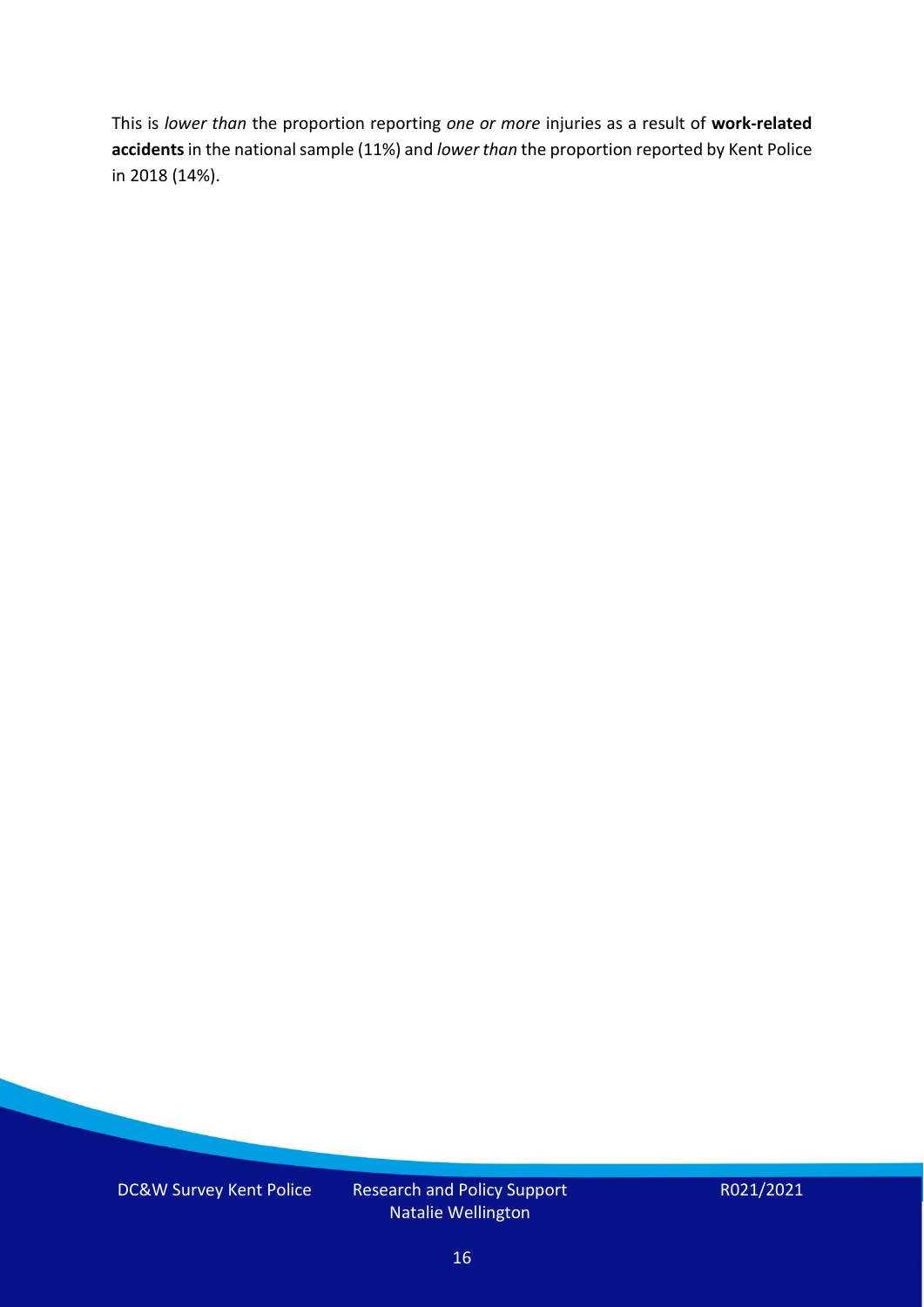This is *lower than* the proportion reporting *one or more* injuries as a result of **work-related accidents** in the national sample (11%) and *lower than* the proportion reported by Kent Police in 2018 (14%).

DC&W Survey Kent Police Research and Policy Support Natalie Wellington

R021/2021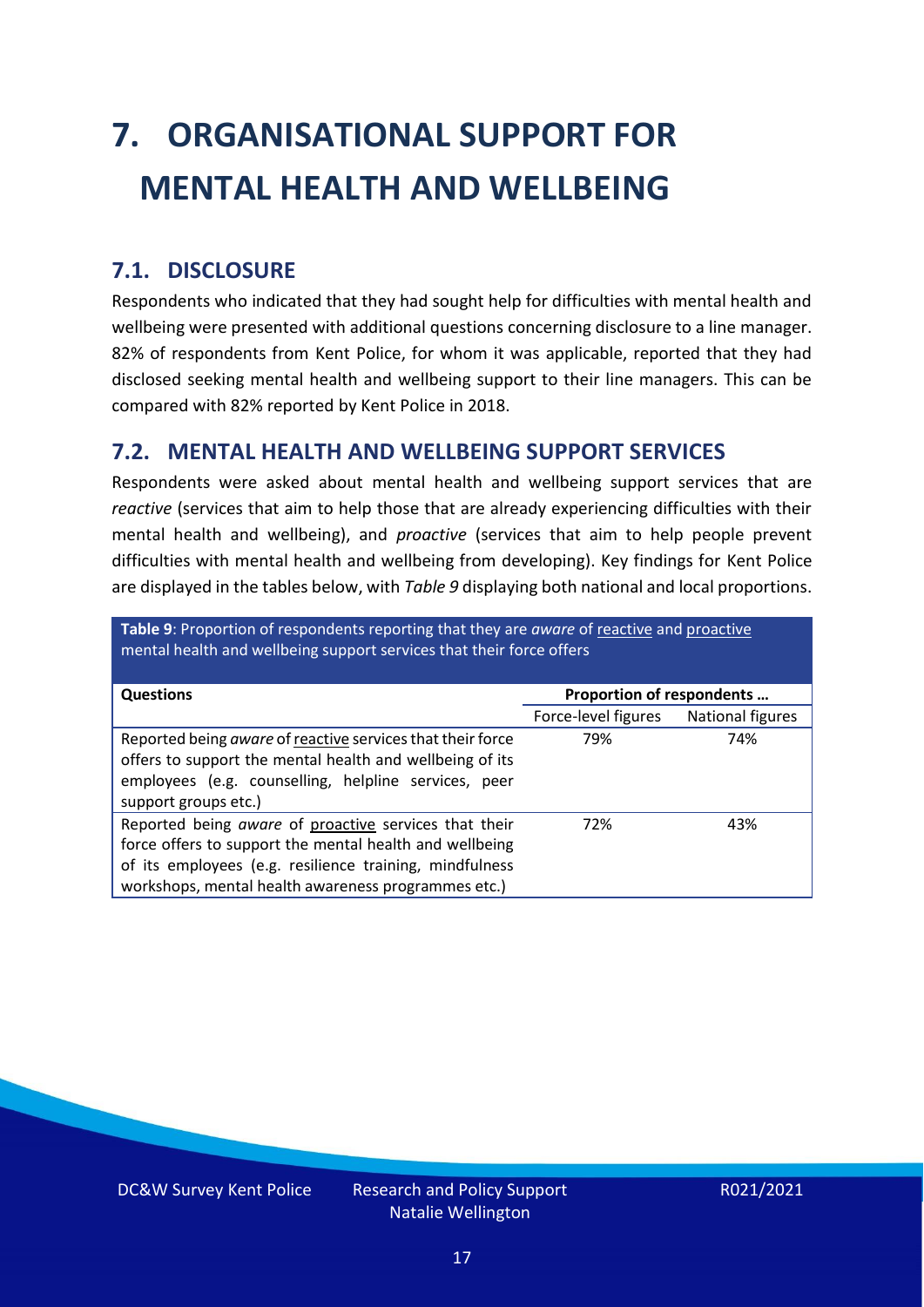# <span id="page-16-0"></span>**7. ORGANISATIONAL SUPPORT FOR MENTAL HEALTH AND WELLBEING**

### **7.1. DISCLOSURE**

Respondents who indicated that they had sought help for difficulties with mental health and wellbeing were presented with additional questions concerning disclosure to a line manager. 82% of respondents from Kent Police, for whom it was applicable, reported that they had disclosed seeking mental health and wellbeing support to their line managers. This can be compared with 82% reported by Kent Police in 2018.

### **7.2. MENTAL HEALTH AND WELLBEING SUPPORT SERVICES**

Respondents were asked about mental health and wellbeing support services that are *reactive* (services that aim to help those that are already experiencing difficulties with their mental health and wellbeing), and *proactive* (services that aim to help people prevent difficulties with mental health and wellbeing from developing). Key findings for Kent Police are displayed in the tables below, with *Table 9* displaying both national and local proportions.

**Table 9**: Proportion of respondents reporting that they are *aware* of reactive and proactive mental health and wellbeing support services that their force offers

| <b>Questions</b>                                                                                                                                                                                                                   | Proportion of respondents |                  |  |
|------------------------------------------------------------------------------------------------------------------------------------------------------------------------------------------------------------------------------------|---------------------------|------------------|--|
|                                                                                                                                                                                                                                    | Force-level figures       | National figures |  |
| Reported being aware of reactive services that their force<br>offers to support the mental health and wellbeing of its<br>employees (e.g. counselling, helpline services, peer<br>support groups etc.)                             | 79%                       | 74%              |  |
| Reported being aware of proactive services that their<br>force offers to support the mental health and wellbeing<br>of its employees (e.g. resilience training, mindfulness<br>workshops, mental health awareness programmes etc.) | 72%                       | 43%              |  |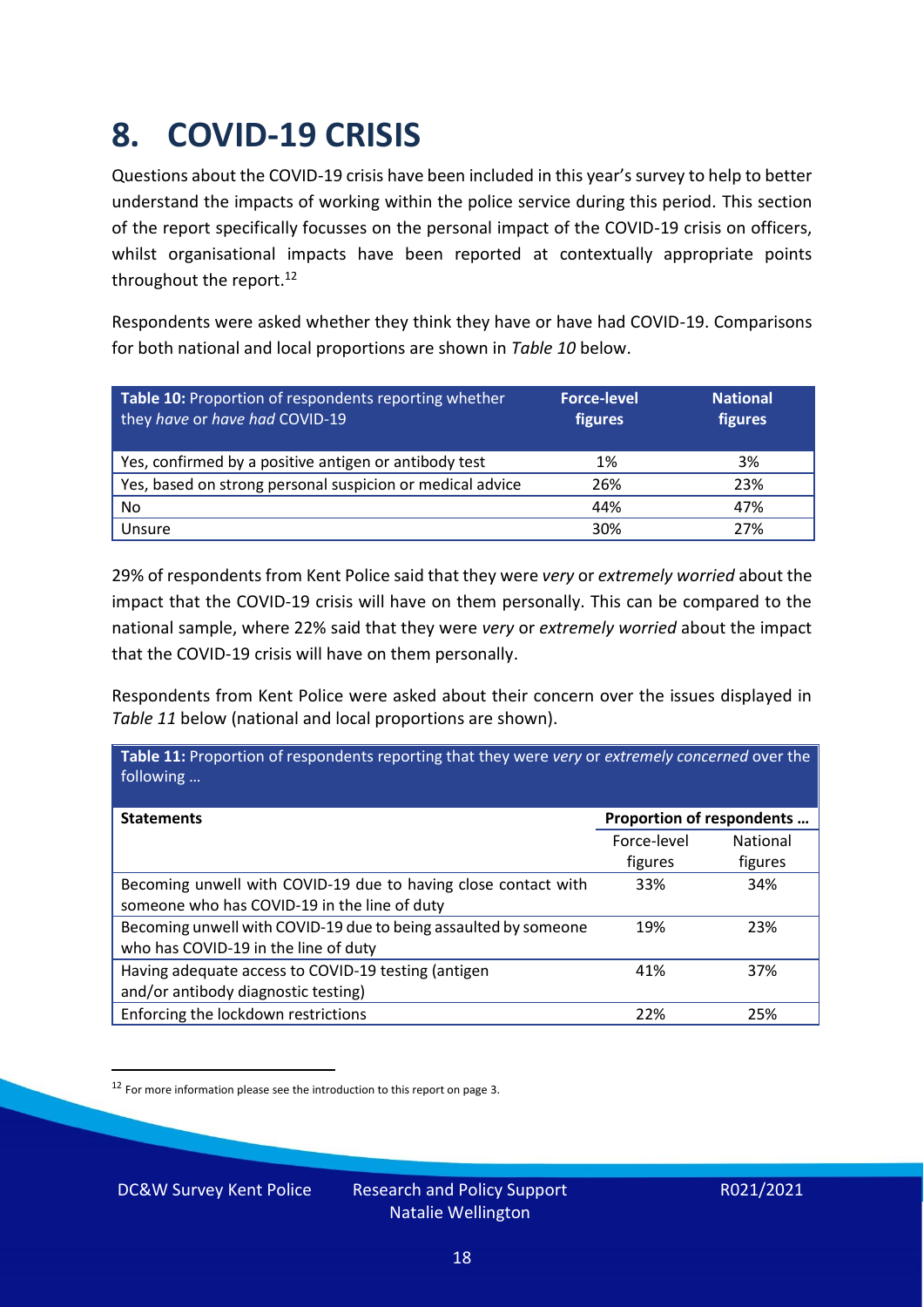### <span id="page-17-0"></span>**8. COVID-19 CRISIS**

Questions about the COVID-19 crisis have been included in this year's survey to help to better understand the impacts of working within the police service during this period. This section of the report specifically focusses on the personal impact of the COVID-19 crisis on officers, whilst organisational impacts have been reported at contextually appropriate points throughout the report.<sup>12</sup>

Respondents were asked whether they think they have or have had COVID-19. Comparisons for both national and local proportions are shown in *Table 10* below.

| Table 10: Proportion of respondents reporting whether<br>they have or have had COVID-19 | <b>Force-level</b><br>figures | <b>National</b><br>figures |
|-----------------------------------------------------------------------------------------|-------------------------------|----------------------------|
| Yes, confirmed by a positive antigen or antibody test                                   | 1%                            | 3%                         |
| Yes, based on strong personal suspicion or medical advice                               | 26%                           | 23%                        |
| No                                                                                      | 44%                           | 47%                        |
| Unsure                                                                                  | 30%                           | 27%                        |

29% of respondents from Kent Police said that they were *very* or *extremely worried* about the impact that the COVID-19 crisis will have on them personally. This can be compared to the national sample, where 22% said that they were *very* or *extremely worried* about the impact that the COVID-19 crisis will have on them personally.

Respondents from Kent Police were asked about their concern over the issues displayed in *Table 11* below (national and local proportions are shown).

| Table 11: Proportion of respondents reporting that they were very or extremely concerned over the<br>following |                           |                 |
|----------------------------------------------------------------------------------------------------------------|---------------------------|-----------------|
| <b>Statements</b>                                                                                              | Proportion of respondents |                 |
|                                                                                                                | Force-level               | <b>National</b> |
|                                                                                                                | figures                   | figures         |
| Becoming unwell with COVID-19 due to having close contact with                                                 | 33%                       | 34%             |
| someone who has COVID-19 in the line of duty                                                                   |                           |                 |
| Becoming unwell with COVID-19 due to being assaulted by someone                                                | 19%                       | 23%             |
| who has COVID-19 in the line of duty                                                                           |                           |                 |
| Having adequate access to COVID-19 testing (antigen                                                            | 41%                       | 37%             |
| and/or antibody diagnostic testing)                                                                            |                           |                 |
| Enforcing the lockdown restrictions                                                                            | 22%                       | 25%             |

 $12$  For more information please see the introduction to this report on page 3.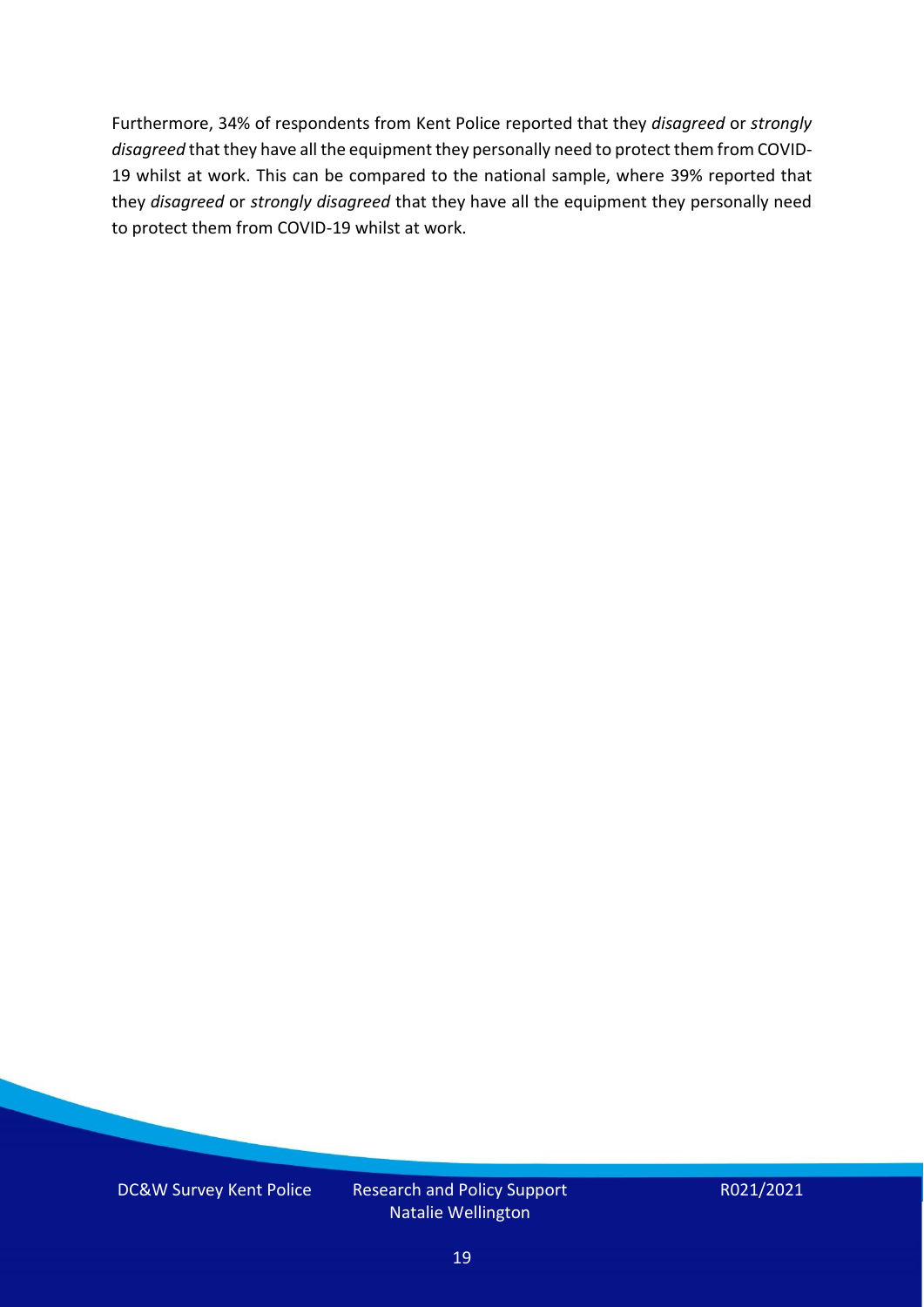Furthermore, 34% of respondents from Kent Police reported that they *disagreed* or *strongly disagreed* that they have all the equipment they personally need to protect them from COVID-19 whilst at work. This can be compared to the national sample, where 39% reported that they *disagreed* or *strongly disagreed* that they have all the equipment they personally need to protect them from COVID-19 whilst at work.

DC&W Survey Kent Police Research and Policy Support

Natalie Wellington

R021/2021